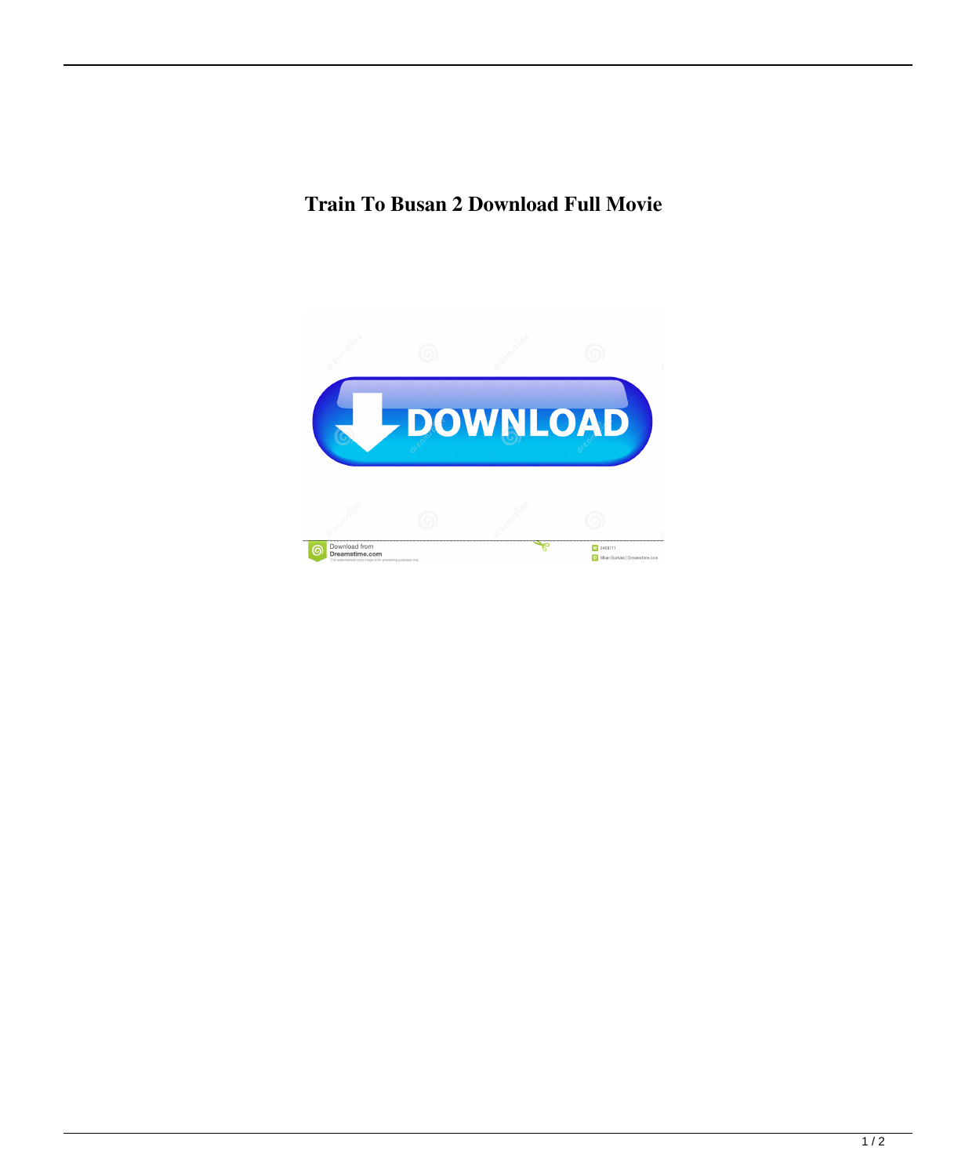